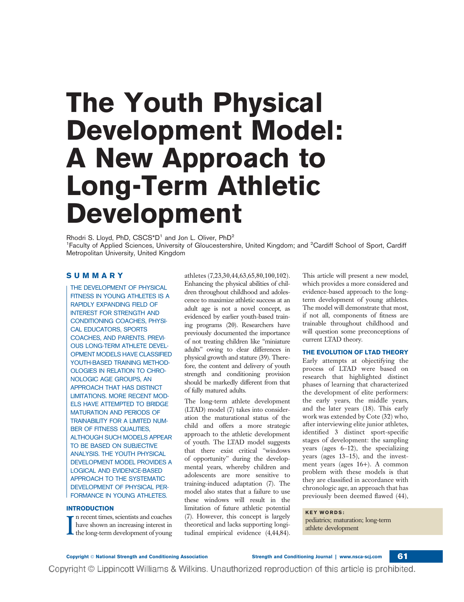# The Youth Physical Development Model: A New Approach to Long-Term Athletic Development

Rhodri S. Lloyd, PhD, CSCS\*D<sup>1</sup> and Jon L. Oliver, PhD<sup>2</sup> <sup>1</sup>Faculty of Applied Sciences, University of Gloucestershire, United Kingdom; and <sup>2</sup>Cardiff School of Sport, Cardiff Metropolitan University, United Kingdom

# SUMMARY

THE DEVELOPMENT OF PHYSICAL FITNESS IN YOUNG ATHLETES IS A RAPIDLY EXPANDING FIELD OF INTEREST FOR STRENGTH AND CONDITIONING COACHES, PHYSI-CAL EDUCATORS, SPORTS COACHES, AND PARENTS. PREVI-OUS LONG-TERM ATHLETE DEVEL-OPMENT MODELS HAVE CLASSIFIED YOUTH-BASED TRAINING METHOD-OLOGIES IN RELATION TO CHRO-NOLOGIC AGE GROUPS, AN APPROACH THAT HAS DISTINCT LIMITATIONS. MORE RECENT MOD-ELS HAVE ATTEMPTED TO BRIDGE MATURATION AND PERIODS OF TRAINABILITY FOR A LIMITED NUM-BER OF FITNESS QUALITIES, ALTHOUGH SUCH MODELS APPEAR TO BE BASED ON SUBJECTIVE ANALYSIS. THE YOUTH PHYSICAL DEVELOPMENT MODEL PROVIDES A LOGICAL AND EVIDENCE-BASED APPROACH TO THE SYSTEMATIC DEVELOPMENT OF PHYSICAL PER-FORMANCE IN YOUNG ATHLETES.

# INTRODUCTION

I n recent times, scientists and coaches have shown an increasing interest in the long-term development of young athletes (7,23,30,44,63,65,80,100,102). Enhancing the physical abilities of children throughout childhood and adolescence to maximize athletic success at an adult age is not a novel concept, as evidenced by earlier youth-based training programs (20). Researchers have previously documented the importance of not treating children like ''miniature adults'' owing to clear differences in physical growth and stature (39). Therefore, the content and delivery of youth strength and conditioning provision should be markedly different from that of fully matured adults.

The long-term athlete development (LTAD) model (7) takes into consideration the maturational status of the child and offers a more strategic approach to the athletic development of youth. The LTAD model suggests that there exist critical ''windows of opportunity'' during the developmental years, whereby children and adolescents are more sensitive to training-induced adaptation (7). The model also states that a failure to use these windows will result in the limitation of future athletic potential (7). However, this concept is largely theoretical and lacks supporting longitudinal empirical evidence (4,44,84).

Copyright © Lippincott Williams & Wilkins. Unauthorized reproduction of this article is prohibited.

This article will present a new model, which provides a more considered and evidence-based approach to the longterm development of young athletes. The model will demonstrate that most, if not all, components of fitness are trainable throughout childhood and will question some preconceptions of current LTAD theory.

# THE EVOLUTION OF LTAD THEORY

Early attempts at objectifying the process of LTAD were based on research that highlighted distinct phases of learning that characterized the development of elite performers: the early years, the middle years, and the later years (18). This early work was extended by Cote (32) who, after interviewing elite junior athletes, identified 3 distinct sport-specific stages of development: the sampling years (ages 6–12), the specializing years (ages 13–15), and the investment years (ages 16+). A common problem with these models is that they are classified in accordance with chronologic age, an approach that has previously been deemed flawed (44),

KEY WORDS: pediatrics; maturation; long-term athlete development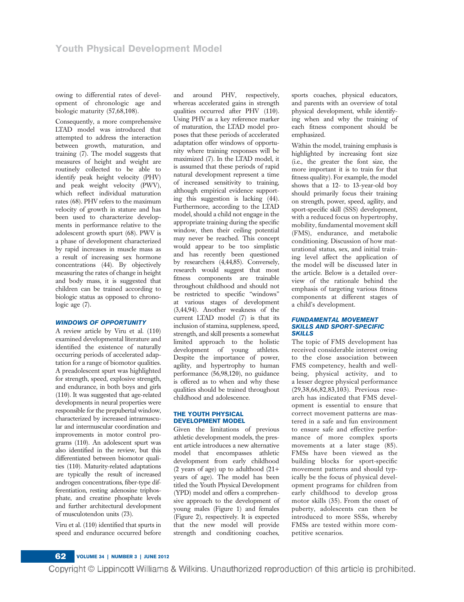owing to differential rates of development of chronologic age and biologic maturity (57,68,108).

Consequently, a more comprehensive LTAD model was introduced that attempted to address the interaction between growth, maturation, and training (7). The model suggests that measures of height and weight are routinely collected to be able to identify peak height velocity (PHV) and peak weight velocity (PWV), which reflect individual maturation rates (68). PHV refers to the maximum velocity of growth in stature and has been used to characterize developments in performance relative to the adolescent growth spurt (68). PWV is a phase of development characterized by rapid increases in muscle mass as a result of increasing sex hormone concentrations (44). By objectively measuring the rates of change in height and body mass, it is suggested that children can be trained according to biologic status as opposed to chronologic age (7).

## WINDOWS OF OPPORTUNITY

A review article by Viru et al. (110) examined developmental literature and identified the existence of naturally occurring periods of accelerated adaptation for a range of biomotor qualities. A preadolescent spurt was highlighted for strength, speed, explosive strength, and endurance, in both boys and girls (110). It was suggested that age-related developments in neural properties were responsible for the prepubertal window, characterized by increased intramuscular and intermuscular coordination and improvements in motor control programs (110). An adolescent spurt was also identified in the review, but this differentiated between biomotor qualities (110). Maturity-related adaptations are typically the result of increased androgen concentrations, fiber-type differentiation, resting adenosine triphosphate, and creatine phosphate levels and further architectural development of musculotendon units (73).

Viru et al. (110) identified that spurts in speed and endurance occurred before

and around PHV, respectively, whereas accelerated gains in strength qualities occurred after PHV (110). Using PHV as a key reference marker of maturation, the LTAD model proposes that these periods of accelerated adaptation offer windows of opportunity where training responses will be maximized (7). In the LTAD model, it is assumed that these periods of rapid natural development represent a time of increased sensitivity to training, although empirical evidence supporting this suggestion is lacking (44). Furthermore, according to the LTAD model, should a child not engage in the appropriate training during the specific window, then their ceiling potential may never be reached. This concept would appear to be too simplistic and has recently been questioned by researchers (4,44,85). Conversely, research would suggest that most fitness components are trainable throughout childhood and should not be restricted to specific ''windows'' at various stages of development (3,44,94). Another weakness of the current LTAD model (7) is that its inclusion of stamina, suppleness, speed, strength, and skill presents a somewhat limited approach to the holistic development of young athletes. Despite the importance of power, agility, and hypertrophy to human performance (56,98,120), no guidance is offered as to when and why these qualities should be trained throughout childhood and adolescence.

#### THE YOUTH PHYSICAL DEVELOPMENT MODEL

Given the limitations of previous athletic development models, the present article introduces a new alternative model that encompasses athletic development from early childhood (2 years of age) up to adulthood  $(21+)$ years of age). The model has been titled the Youth Physical Development (YPD) model and offers a comprehensive approach to the development of young males (Figure 1) and females (Figure 2), respectively. It is expected that the new model will provide strength and conditioning coaches,

sports coaches, physical educators, and parents with an overview of total physical development, while identifying when and why the training of each fitness component should be emphasized.

Within the model, training emphasis is highlighted by increasing font size (i.e., the greater the font size, the more important it is to train for that fitness quality). For example, the model shows that a 12- to 13-year-old boy should primarily focus their training on strength, power, speed, agility, and sport-specific skill (SSS) development, with a reduced focus on hypertrophy, mobility, fundamental movement skill (FMS), endurance, and metabolic conditioning. Discussion of how maturational status, sex, and initial training level affect the application of the model will be discussed later in the article. Below is a detailed overview of the rationale behind the emphasis of targeting various fitness components at different stages of a child's development.

### FUNDAMENTAL MOVEMENT SKILLS AND SPORT-SPECIFIC SKILLS

The topic of FMS development has received considerable interest owing to the close association between FMS competency, health and wellbeing, physical activity, and to a lesser degree physical performance (29,38,66,82,83,103). Previous research has indicated that FMS development is essential to ensure that correct movement patterns are mastered in a safe and fun environment to ensure safe and effective performance of more complex sports movements at a later stage (85). FMSs have been viewed as the building blocks for sport-specific movement patterns and should typically be the focus of physical development programs for children from early childhood to develop gross motor skills (35). From the onset of puberty, adolescents can then be introduced to more SSSs, whereby FMSs are tested within more competitive scenarios.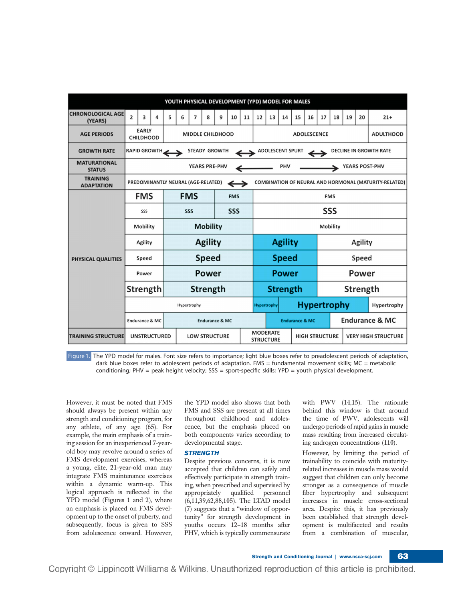|                                      | YOUTH PHYSICAL DEVELOPMENT (YPD) MODEL FOR MALES                                                                 |                           |                                             |                 |                |                |            |                           |            |                       |                                                              |    |    |                           |                |             |                            |                           |                  |  |  |
|--------------------------------------|------------------------------------------------------------------------------------------------------------------|---------------------------|---------------------------------------------|-----------------|----------------|----------------|------------|---------------------------|------------|-----------------------|--------------------------------------------------------------|----|----|---------------------------|----------------|-------------|----------------------------|---------------------------|------------------|--|--|
| <b>CHRONOLOGICAL AGE</b><br>(YEARS)  | $\overline{2}$                                                                                                   | 3<br>4                    | 5                                           | 6               | $\overline{7}$ | 8              | 9          | 10                        | 11         | 12                    | 13                                                           | 14 | 15 | 16                        | 17             | 18          | 19                         | 20                        | $21+$            |  |  |
| <b>AGE PERIODS</b>                   | <b>EARLY</b><br><b>MIDDLE CHILDHOOD</b><br><b>CHILDHOOD</b>                                                      |                           |                                             |                 |                |                |            |                           |            | <b>ADOLESCENCE</b>    |                                                              |    |    |                           |                |             |                            |                           | <b>ADULTHOOD</b> |  |  |
| <b>GROWTH RATE</b>                   | <b>STEADY GROWTH</b><br>RAPID GROWTH                                                                             |                           |                                             |                 |                |                |            |                           |            |                       | ADOLESCENT SPURT<br>DECLINE IN GROWTH RATE                   |    |    |                           |                |             |                            |                           |                  |  |  |
| <b>MATURATIONAL</b><br><b>STATUS</b> | <b>YEARS PRE-PHV</b><br>$\leftarrow$                                                                             |                           |                                             |                 |                |                |            |                           |            | PHV<br>YEARS POST-PHV |                                                              |    |    |                           |                |             |                            |                           |                  |  |  |
| <b>TRAINING</b><br><b>ADAPTATION</b> | PREDOMINANTLY NEURAL (AGE-RELATED)<br>COMBINATION OF NEURAL AND HORMONAL (MATURITY-RELATED)<br>$\leftrightarrow$ |                           |                                             |                 |                |                |            |                           |            |                       |                                                              |    |    |                           |                |             |                            |                           |                  |  |  |
| PHYSICAL QUALITIES                   |                                                                                                                  | <b>FMS</b>                | <b>FMS</b>                                  |                 |                |                | <b>FMS</b> |                           |            | <b>FMS</b>            |                                                              |    |    |                           |                |             |                            |                           |                  |  |  |
|                                      | SSS                                                                                                              |                           | SSS<br>SSS                                  |                 |                |                |            |                           | <b>SSS</b> |                       |                                                              |    |    |                           |                |             |                            |                           |                  |  |  |
|                                      |                                                                                                                  | Mobility                  |                                             | <b>Mobility</b> |                |                |            |                           |            | Mobility              |                                                              |    |    |                           |                |             |                            |                           |                  |  |  |
|                                      |                                                                                                                  | Agility                   |                                             |                 |                | <b>Agility</b> |            |                           |            | <b>Agility</b>        |                                                              |    |    |                           | <b>Agility</b> |             |                            |                           |                  |  |  |
|                                      |                                                                                                                  | Speed                     |                                             |                 |                |                | Speed      |                           |            |                       | <b>Speed</b>                                                 |    |    |                           |                | Speed       |                            |                           |                  |  |  |
|                                      |                                                                                                                  | Power                     |                                             |                 | Power          |                |            |                           |            | Power                 |                                                              |    |    |                           | Power          |             |                            |                           |                  |  |  |
|                                      |                                                                                                                  | Strength                  |                                             |                 |                | Strength       |            |                           |            | <b>Strength</b>       |                                                              |    |    |                           | Strength       |             |                            |                           |                  |  |  |
|                                      | Hypertrophy                                                                                                      |                           |                                             |                 |                |                |            |                           |            |                       | <b>Hypertrophy</b><br>Hypertrophy                            |    |    |                           |                | Hypertrophy |                            |                           |                  |  |  |
|                                      |                                                                                                                  | <b>Endurance &amp; MC</b> |                                             |                 |                |                |            | <b>Endurance &amp; MC</b> |            |                       |                                                              |    |    | <b>Endurance &amp; MC</b> |                |             |                            | <b>Endurance &amp; MC</b> |                  |  |  |
| <b>TRAINING STRUCTURE</b>            |                                                                                                                  |                           | <b>UNSTRUCTURED</b><br><b>LOW STRUCTURE</b> |                 |                |                |            |                           |            |                       | <b>MODERATE</b><br><b>HIGH STRUCTURE</b><br><b>STRUCTURE</b> |    |    |                           |                |             | <b>VERY HIGH STRUCTURE</b> |                           |                  |  |  |

Figure 1. The YPD model for males. Font size refers to importance; light blue boxes refer to preadolescent periods of adaptation, dark blue boxes refer to adolescent periods of adaptation. FMS = fundamental movement skills; MC = metabolic conditioning; PHV = peak height velocity; SSS = sport-specific skills; YPD = youth physical development.

However, it must be noted that FMS should always be present within any strength and conditioning program, for any athlete, of any age (65). For example, the main emphasis of a training session for an inexperienced 7-yearold boy may revolve around a series of FMS development exercises, whereas a young, elite, 21-year-old man may integrate FMS maintenance exercises within a dynamic warm-up. This logical approach is reflected in the YPD model (Figures 1 and 2), where an emphasis is placed on FMS development up to the onset of puberty, and subsequently, focus is given to SSS from adolescence onward. However,

the YPD model also shows that both FMS and SSS are present at all times throughout childhood and adolescence, but the emphasis placed on both components varies according to developmental stage.

#### **STRENGTH**

Despite previous concerns, it is now accepted that children can safely and effectively participate in strength training, when prescribed and supervised by appropriately qualified personnel (6,11,39,62,88,105). The LTAD model (7) suggests that a ''window of opportunity'' for strength development in youths occurs 12–18 months after PHV, which is typically commensurate

with PWV (14,15). The rationale behind this window is that around the time of PWV, adolescents will undergo periods of rapid gains in muscle mass resulting from increased circulating androgen concentrations (110).

However, by limiting the period of trainability to coincide with maturityrelated increases in muscle mass would suggest that children can only become stronger as a consequence of muscle fiber hypertrophy and subsequent increases in muscle cross-sectional area. Despite this, it has previously been established that strength development is multifaceted and results from a combination of muscular,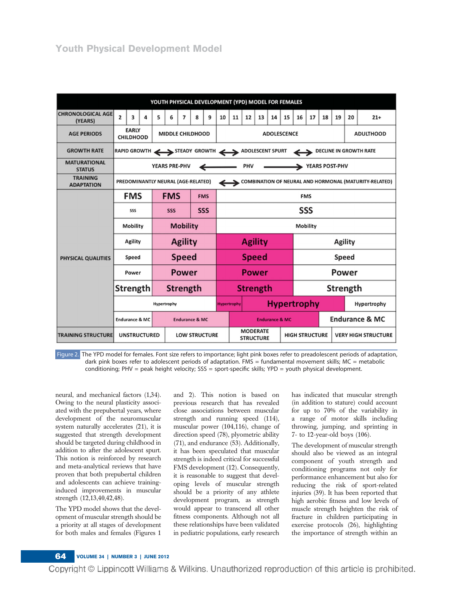| YOUTH PHYSICAL DEVELOPMENT (YPD) MODEL FOR FEMALES |                                                                                          |                                                        |                 |                          |   |                    |            |                                     |                           |    |                    |    |                       |                 |                |             |                            |    |                           |  |  |
|----------------------------------------------------|------------------------------------------------------------------------------------------|--------------------------------------------------------|-----------------|--------------------------|---|--------------------|------------|-------------------------------------|---------------------------|----|--------------------|----|-----------------------|-----------------|----------------|-------------|----------------------------|----|---------------------------|--|--|
| <b>CHRONOLOGICAL AGE</b><br>(YEARS)                | $\overline{2}$                                                                           | 3<br>4                                                 | 5               | 6                        | 7 | 8                  | 9          | 10                                  | 11                        | 12 | 13                 | 14 | 15                    | 16              | 17             | 18          | 19                         | 20 | $21+$                     |  |  |
| <b>AGE PERIODS</b>                                 | <b>EARLY</b><br><b>MIDDLE CHILDHOOD</b><br><b>CHILDHOOD</b>                              |                                                        |                 |                          |   |                    |            |                                     | <b>ADOLESCENCE</b>        |    |                    |    |                       |                 |                |             |                            |    | <b>ADULTHOOD</b>          |  |  |
| <b>GROWTH RATE</b>                                 | RAPID GROWTH STEADY GROWTH AND ADOLESCENT SPURT AND DECLINE IN GROWTH RATE               |                                                        |                 |                          |   |                    |            |                                     |                           |    |                    |    |                       |                 |                |             |                            |    |                           |  |  |
| <b>MATURATIONAL</b><br><b>STATUS</b>               | PHV WEARS POST-PHV<br><b>YEARS PRE-PHV</b>                                               |                                                        |                 |                          |   |                    |            |                                     |                           |    |                    |    |                       |                 |                |             |                            |    |                           |  |  |
| <b>TRAINING</b><br><b>ADAPTATION</b>               | PREDOMINANTLY NEURAL (AGE-RELATED) COMBINATION OF NEURAL AND HORMONAL (MATURITY-RELATED) |                                                        |                 |                          |   |                    |            |                                     |                           |    |                    |    |                       |                 |                |             |                            |    |                           |  |  |
| PHYSICAL QUALITIES                                 | <b>FMS</b>                                                                               |                                                        |                 | <b>FMS</b><br><b>FMS</b> |   |                    | <b>FMS</b> |                                     |                           |    |                    |    |                       |                 |                |             |                            |    |                           |  |  |
|                                                    | SSS                                                                                      |                                                        |                 | SSS<br>SSS               |   |                    |            |                                     | <b>SSS</b>                |    |                    |    |                       |                 |                |             |                            |    |                           |  |  |
|                                                    |                                                                                          | <b>Mobility</b>                                        |                 | <b>Mobility</b>          |   |                    |            | <b>Mobility</b>                     |                           |    |                    |    |                       |                 |                |             |                            |    |                           |  |  |
|                                                    | <b>Agility</b>                                                                           |                                                        |                 | <b>Agility</b>           |   |                    |            | <b>Agility</b>                      |                           |    |                    |    |                       |                 | <b>Agility</b> |             |                            |    |                           |  |  |
|                                                    |                                                                                          | Speed                                                  |                 | <b>Speed</b>             |   |                    |            | <b>Speed</b>                        |                           |    |                    |    |                       |                 | <b>Speed</b>   |             |                            |    |                           |  |  |
|                                                    |                                                                                          | Power                                                  | Power           |                          |   |                    | Power      |                                     |                           |    |                    |    |                       | Power           |                |             |                            |    |                           |  |  |
|                                                    |                                                                                          | <b>Strength</b>                                        | <b>Strength</b> |                          |   |                    |            |                                     | <b>Strength</b>           |    |                    |    |                       | <b>Strength</b> |                |             |                            |    |                           |  |  |
|                                                    |                                                                                          |                                                        |                 |                          |   | <b>Hypertrophy</b> |            |                                     |                           |    | <b>Hypertrophy</b> |    |                       |                 |                | Hypertrophy |                            |    |                           |  |  |
|                                                    |                                                                                          | <b>Endurance &amp; MC</b><br><b>Endurance &amp; MC</b> |                 |                          |   |                    |            |                                     | <b>Endurance &amp; MC</b> |    |                    |    |                       |                 |                |             |                            |    | <b>Endurance &amp; MC</b> |  |  |
| <b>TRAINING STRUCTURE</b>                          | <b>UNSTRUCTURED</b><br><b>LOW STRUCTURE</b>                                              |                                                        |                 |                          |   |                    |            | <b>MODERATE</b><br><b>STRUCTURE</b> |                           |    |                    |    | <b>HIGH STRUCTURE</b> |                 |                |             | <b>VERY HIGH STRUCTURE</b> |    |                           |  |  |

Figure 2. The YPD model for females. Font size refers to importance; light pink boxes refer to preadolescent periods of adaptation, dark pink boxes refer to adolescent periods of adaptation. FMS = fundamental movement skills; MC = metabolic conditioning; PHV = peak height velocity; SSS = sport-specific skills; YPD = youth physical development.

neural, and mechanical factors (1,34). Owing to the neural plasticity associated with the prepubertal years, where development of the neuromuscular system naturally accelerates (21), it is suggested that strength development should be targeted during childhood in addition to after the adolescent spurt. This notion is reinforced by research and meta-analytical reviews that have proven that both prepubertal children and adolescents can achieve traininginduced improvements in muscular strength (12,13,40,42,48).

The YPD model shows that the development of muscular strength should be a priority at all stages of development for both males and females (Figures 1

and 2). This notion is based on previous research that has revealed close associations between muscular strength and running speed (114), muscular power (104,116), change of direction speed (78), plyometric ability (71), and endurance (53). Additionally, it has been speculated that muscular strength is indeed critical for successful FMS development (12). Consequently, it is reasonable to suggest that developing levels of muscular strength should be a priority of any athlete development program, as strength would appear to transcend all other fitness components. Although not all these relationships have been validated in pediatric populations, early research

has indicated that muscular strength (in addition to stature) could account for up to 70% of the variability in a range of motor skills including throwing, jumping, and sprinting in 7- to 12-year-old boys (106).

The development of muscular strength should also be viewed as an integral component of youth strength and conditioning programs not only for performance enhancement but also for reducing the risk of sport-related injuries (39). It has been reported that high aerobic fitness and low levels of muscle strength heighten the risk of fracture in children participating in exercise protocols (26), highlighting the importance of strength within an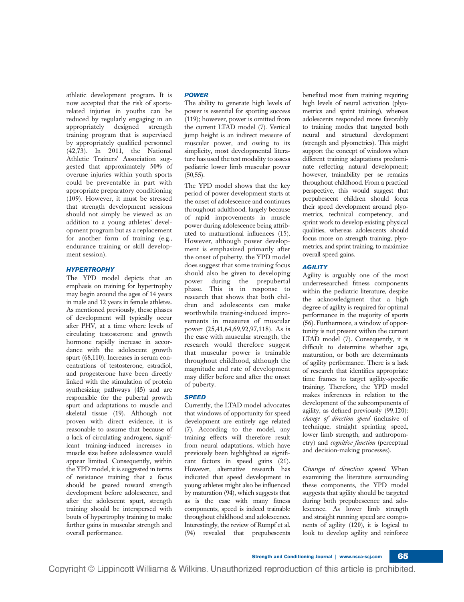athletic development program. It is now accepted that the risk of sportsrelated injuries in youths can be reduced by regularly engaging in an appropriately designed strength training program that is supervised by appropriately qualified personnel (42,73). In 2011, the National Athletic Trainers' Association suggested that approximately 50% of overuse injuries within youth sports could be preventable in part with appropriate preparatory conditioning (109). However, it must be stressed that strength development sessions should not simply be viewed as an addition to a young athletes' development program but as a replacement for another form of training (e.g., endurance training or skill development session).

## **HYPERTROPHY**

The YPD model depicts that an emphasis on training for hypertrophy may begin around the ages of 14 years in male and 12 years in female athletes. As mentioned previously, these phases of development will typically occur after PHV, at a time where levels of circulating testosterone and growth hormone rapidly increase in accordance with the adolescent growth spurt (68,110). Increases in serum concentrations of testosterone, estradiol, and progesterone have been directly linked with the stimulation of protein synthesizing pathways (45) and are responsible for the pubertal growth spurt and adaptations to muscle and skeletal tissue (19). Although not proven with direct evidence, it is reasonable to assume that because of a lack of circulating androgens, significant training-induced increases in muscle size before adolescence would appear limited. Consequently, within the YPD model, it is suggested in terms of resistance training that a focus should be geared toward strength development before adolescence, and after the adolescent spurt, strength training should be interspersed with bouts of hypertrophy training to make further gains in muscular strength and overall performance.

# POWER

The ability to generate high levels of power is essential for sporting success (119); however, power is omitted from the current LTAD model (7). Vertical jump height is an indirect measure of muscular power, and owing to its simplicity, most developmental literature has used the test modality to assess pediatric lower limb muscular power  $(50, 55)$ .

The YPD model shows that the key period of power development starts at the onset of adolescence and continues throughout adulthood, largely because of rapid improvements in muscle power during adolescence being attributed to maturational influences (15). However, although power development is emphasized primarily after the onset of puberty, the YPD model does suggest that some training focus should also be given to developing power during the prepubertal phase. This is in response to research that shows that both children and adolescents can make worthwhile training-induced improvements in measures of muscular power (25,41,64,69,92,97,118). As is the case with muscular strength, the research would therefore suggest that muscular power is trainable throughout childhood, although the magnitude and rate of development may differ before and after the onset of puberty.

## SPEED

Currently, the LTAD model advocates that windows of opportunity for speed development are entirely age related (7). According to the model, any training effects will therefore result from neural adaptations, which have previously been highlighted as significant factors in speed gains (21). However, alternative research has indicated that speed development in young athletes might also be influenced by maturation (94), which suggests that as is the case with many fitness components, speed is indeed trainable throughout childhood and adolescence. Interestingly, the review of Rumpf et al. (94) revealed that prepubescents

benefited most from training requiring high levels of neural activation (plyometrics and sprint training), whereas adolescents responded more favorably to training modes that targeted both neural and structural development (strength and plyometrics). This might support the concept of windows when different training adaptations predominate reflecting natural development; however, trainability per se remains throughout childhood. From a practical perspective, this would suggest that prepubescent children should focus their speed development around plyometrics, technical competency, and sprint work to develop existing physical qualities, whereas adolescents should focus more on strength training, plyometrics, and sprint training, to maximize overall speed gains.

# **AGILITY**

Agility is arguably one of the most underresearched fitness components within the pediatric literature, despite the acknowledgment that a high degree of agility is required for optimal performance in the majority of sports (56). Furthermore, a window of opportunity is not present within the current LTAD model (7). Consequently, it is difficult to determine whether age, maturation, or both are determinants of agility performance. There is a lack of research that identifies appropriate time frames to target agility-specific training. Therefore, the YPD model makes inferences in relation to the development of the subcomponents of agility, as defined previously (99,120): change of direction speed (inclusive of technique, straight sprinting speed, lower limb strength, and anthropometry) and *cognitive function* (perceptual and decision-making processes).

Change of direction speed. When examining the literature surrounding these components, the YPD model suggests that agility should be targeted during both prepubescence and adolescence. As lower limb strength and straight running speed are components of agility (120), it is logical to look to develop agility and reinforce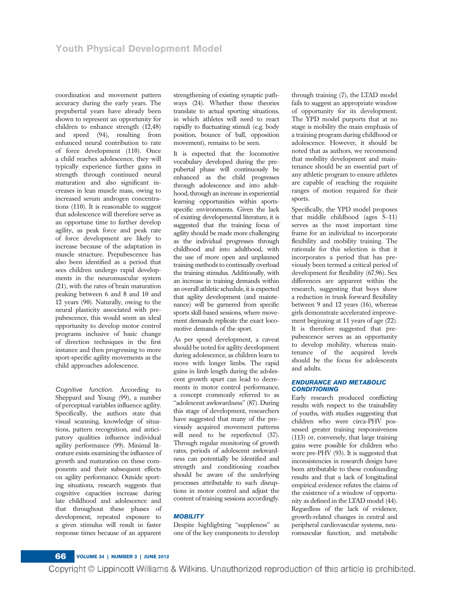coordination and movement pattern accuracy during the early years. The prepubertal years have already been shown to represent an opportunity for children to enhance strength (12,48) and speed (94), resulting from enhanced neural contribution to rate of force development (110). Once a child reaches adolescence, they will typically experience further gains in strength through continued neural maturation and also significant increases in lean muscle mass, owing to increased serum androgen concentrations (110). It is reasonable to suggest that adolescence will therefore serve as an opportune time to further develop agility, as peak force and peak rate of force development are likely to increase because of the adaptation in muscle structure. Prepubescence has also been identified as a period that sees children undergo rapid developments in the neuromuscular system (21), with the rates of brain maturation peaking between 6 and 8 and 10 and 12 years (90). Naturally, owing to the neural plasticity associated with prepubescence, this would seem an ideal opportunity to develop motor control programs inclusive of basic change of direction techniques in the first instance and then progressing to more sport-specific agility movements as the child approaches adolescence.

Cognitive function. According to Sheppard and Young (99), a number of perceptual variables influence agility. Specifically, the authors state that visual scanning, knowledge of situations, pattern recognition, and anticipatory qualities influence individual agility performance (99). Minimal literature exists examining the influence of growth and maturation on these components and their subsequent effects on agility performance. Outside sporting situations, research suggests that cognitive capacities increase during late childhood and adolescence and that throughout these phases of development, repeated exposure to a given stimulus will result in faster response times because of an apparent

strengthening of existing synaptic pathways (24). Whether these theories translate to actual sporting situations, in which athletes will need to react rapidly to fluctuating stimuli (e.g. body position, bounce of ball, opposition movement), remains to be seen.

It is expected that the locomotive vocabulary developed during the prepubertal phase will continuously be enhanced as the child progresses through adolescence and into adulthood, through an increase in experiential learning opportunities within sportsspecific environments. Given the lack of existing developmental literature, it is suggested that the training focus of agility should be made more challenging as the individual progresses through childhood and into adulthood, with the use of more open and unplanned training methods to continually overload the training stimulus. Additionally, with an increase in training demands within an overall athletic schedule, it is expected that agility development (and maintenance) will be garnered from specific sports skill-based sessions, where movement demands replicate the exact locomotive demands of the sport.

As per speed development, a caveat should be noted for agility development during adolescence, as children learn to move with longer limbs. The rapid gains in limb length during the adolescent growth spurt can lead to decrements in motor control performance, a concept commonly referred to as ''adolescent awkwardness'' (87). During this stage of development, researchers have suggested that many of the previously acquired movement patterns will need to be reperfected (37). Through regular monitoring of growth rates, periods of adolescent awkwardness can potentially be identified and strength and conditioning coaches should be aware of the underlying processes attributable to such disruptions in motor control and adjust the content of training sessions accordingly.

# **MOBILITY**

Despite highlighting ''suppleness'' as one of the key components to develop through training (7), the LTAD model fails to suggest an appropriate window of opportunity for its development. The YPD model purports that at no stage is mobility the main emphasis of a training program during childhood or adolescence. However, it should be noted that as authors, we recommend that mobility development and maintenance should be an essential part of any athletic program to ensure athletes are capable of reaching the requisite ranges of motion required for their sports.

Specifically, the YPD model proposes that middle childhood (ages 5–11) serves as the most important time frame for an individual to incorporate flexibility and mobility training. The rationale for this selection is that it incorporates a period that has previously been termed a critical period of development for flexibility (67,96). Sex differences are apparent within the research, suggesting that boys show a reduction in trunk forward flexibility between 9 and 12 years (16), whereas girls demonstrate accelerated improvement beginning at 11 years of age (22). It is therefore suggested that prepubescence serves as an opportunity to develop mobility, whereas maintenance of the acquired levels should be the focus for adolescents and adults.

#### ENDURANCE AND METABOLIC **CONDITIONING**

Early research produced conflicting results with respect to the trainability of youths, with studies suggesting that children who were circa-PHV possessed greater training responsiveness (113) or, conversely, that large training gains were possible for children who were pre-PHV (93). It is suggested that inconsistencies in research design have been attributable to these confounding results and that a lack of longitudinal empirical evidence refutes the claims of the existence of a window of opportunity as defined in the LTAD model (44). Regardless of the lack of evidence, growth-related changes in central and peripheral cardiovascular systems, neuromuscular function, and metabolic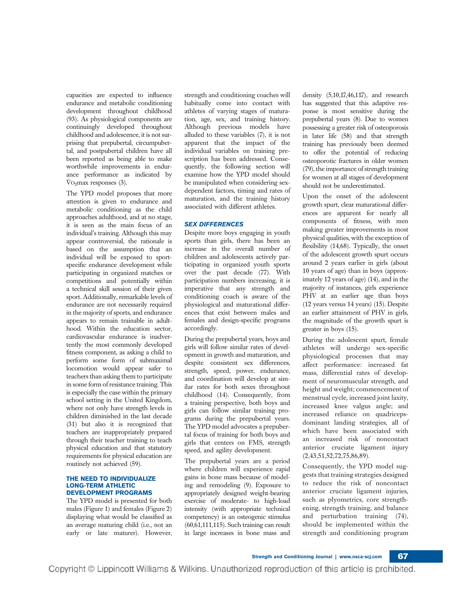capacities are expected to influence endurance and metabolic conditioning development throughout childhood (93). As physiological components are continuingly developed throughout childhood and adolescence, it is not surprising that prepubertal, circumpubertal, and postpubertal children have all been reported as being able to make worthwhile improvements in endurance performance as indicated by  $\text{V}_\text{O2}$  max responses (3).

The YPD model proposes that more attention is given to endurance and metabolic conditioning as the child approaches adulthood, and at no stage, it is seen as the main focus of an individual's training. Although this may appear controversial, the rationale is based on the assumption that an individual will be exposed to sportspecific endurance development while participating in organized matches or competitions and potentially within a technical skill session of their given sport. Additionally, remarkable levels of endurance are not necessarily required in the majority of sports, and endurance appears to remain trainable in adulthood. Within the education sector, cardiovascular endurance is inadvertently the most commonly developed fitness component, as asking a child to perform some form of submaximal locomotion would appear safer to teachers than asking them to participate in some form of resistance training. This is especially the case within the primary school setting in the United Kingdom, where not only have strength levels in children diminished in the last decade (31) but also it is recognized that teachers are inappropriately prepared through their teacher training to teach physical education and that statutory requirements for physical education are routinely not achieved (59).

#### THE NEED TO INDIVIDUALIZE LONG-TERM ATHLETIC DEVELOPMENT PROGRAMS

The YPD model is presented for both males (Figure 1) and females (Figure 2) displaying what would be classified as an average maturing child (i.e., not an early or late maturer). However, strength and conditioning coaches will habitually come into contact with athletes of varying stages of maturation, age, sex, and training history. Although previous models have alluded to these variables (7), it is not apparent that the impact of the individual variables on training prescription has been addressed. Consequently, the following section will examine how the YPD model should be manipulated when considering sexdependent factors, timing and rates of maturation, and the training history associated with different athletes.

## SEX DIFFERENCES

Despite more boys engaging in youth sports than girls, there has been an increase in the overall number of children and adolescents actively participating in organized youth sports over the past decade (77). With participation numbers increasing, it is imperative that any strength and conditioning coach is aware of the physiological and maturational differences that exist between males and females and design-specific programs accordingly.

During the prepubertal years, boys and girls will follow similar rates of development in growth and maturation, and despite consistent sex differences, strength, speed, power, endurance, and coordination will develop at similar rates for both sexes throughout childhood (14). Consequently, from a training perspective, both boys and girls can follow similar training programs during the prepubertal years. The YPD model advocates a prepubertal focus of training for both boys and girls that centers on FMS, strength speed, and agility development.

The prepubertal years are a period where children will experience rapid gains in bone mass because of modeling and remodeling (9). Exposure to appropriately designed weight-bearing exercise of moderate- to high-load intensity (with appropriate technical competency) is an osteogenic stimulus (60,61,111,115). Such training can result in large increases in bone mass and

density (5,10,17,46,117), and research has suggested that this adaptive response is most sensitive during the prepubertal years (8). Due to women possessing a greater risk of osteoporosis in later life (58) and that strength training has previously been deemed to offer the potential of reducing osteoporotic fractures in older women (79), the importance of strength training for women at all stages of development should not be underestimated.

Upon the onset of the adolescent growth spurt, clear maturational differences are apparent for nearly all components of fitness, with men making greater improvements in most physical qualities, with the exception of flexibility (14,68). Typically, the onset of the adolescent growth spurt occurs around 2 years earlier in girls (about 10 years of age) than in boys (approximately 12 years of age) (14), and in the majority of instances, girls experience PHV at an earlier age than boys (12 years versus 14 years) (15). Despite an earlier attainment of PHV in girls, the magnitude of the growth spurt is greater in boys (15).

During the adolescent spurt, female athletes will undergo sex-specific physiological processes that may affect performance: increased fat mass, differential rates of development of neuromuscular strength, and height and weight; commencement of menstrual cycle, increased joint laxity, increased knee valgus angle; and increased reliance on quadricepsdominant landing strategies, all of which have been associated with an increased risk of noncontact anterior cruciate ligament injury (2,43,51,52,72,75,86,89).

Consequently, the YPD model suggests that training strategies designed to reduce the risk of noncontact anterior cruciate ligament injuries, such as plyometrics, core strengthening, strength training, and balance and perturbation training (74), should be implemented within the strength and conditioning program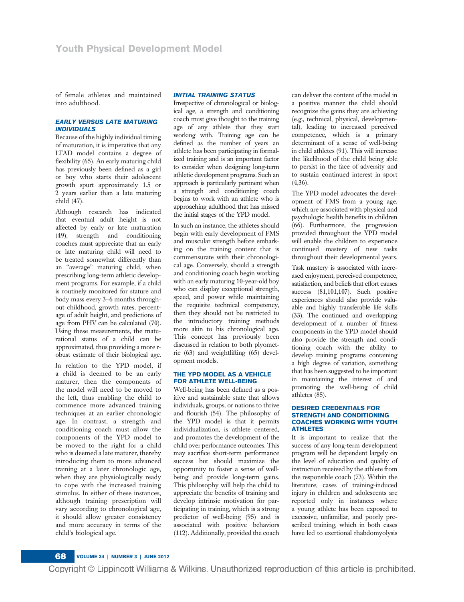of female athletes and maintained into adulthood.

#### EARLY VERSUS LATE MATURING INDIVIDUALS

Because of the highly individual timing of maturation, it is imperative that any LTAD model contains a degree of flexibility (65). An early maturing child has previously been defined as a girl or boy who starts their adolescent growth spurt approximately 1.5 or 2 years earlier than a late maturing child (47).

Although research has indicated that eventual adult height is not affected by early or late maturation (49), strength and conditioning coaches must appreciate that an early or late maturing child will need to be treated somewhat differently than an ''average'' maturing child, when prescribing long-term athletic development programs. For example, if a child is routinely monitored for stature and body mass every 3–6 months throughout childhood, growth rates, percentage of adult height, and predictions of age from PHV can be calculated (70). Using these measurements, the maturational status of a child can be approximated, thus providing a more robust estimate of their biological age.

In relation to the YPD model, if a child is deemed to be an early maturer, then the components of the model will need to be moved to the left, thus enabling the child to commence more advanced training techniques at an earlier chronologic age. In contrast, a strength and conditioning coach must allow the components of the YPD model to be moved to the right for a child who is deemed a late maturer, thereby introducing them to more advanced training at a later chronologic age, when they are physiologically ready to cope with the increased training stimulus. In either of these instances, although training prescription will vary according to chronological age, it should allow greater consistency and more accuracy in terms of the child's biological age.

# INITIAL TRAINING STATUS

Irrespective of chronological or biological age, a strength and conditioning coach must give thought to the training age of any athlete that they start working with. Training age can be defined as the number of years an athlete has been participating in formalized training and is an important factor to consider when designing long-term athletic development programs. Such an approach is particularly pertinent when a strength and conditioning coach begins to work with an athlete who is approaching adulthood that has missed the initial stages of the YPD model.

In such an instance, the athletes should begin with early development of FMS and muscular strength before embarking on the training content that is commensurate with their chronological age. Conversely, should a strength and conditioning coach begin working with an early maturing 10-year-old boy who can display exceptional strength, speed, and power while maintaining the requisite technical competency, then they should not be restricted to the introductory training methods more akin to his chronological age. This concept has previously been discussed in relation to both plyometric (63) and weightlifting (65) development models.

# THE YPD MODEL AS A VEHICLE FOR ATHLETE WELL-BEING

Well-being has been defined as a positive and sustainable state that allows individuals, groups, or nations to thrive and flourish (54). The philosophy of the YPD model is that it permits individualization, is athlete centered, and promotes the development of the child over performance outcomes. This may sacrifice short-term performance success but should maximize the opportunity to foster a sense of wellbeing and provide long-term gains. This philosophy will help the child to appreciate the benefits of training and develop intrinsic motivation for participating in training, which is a strong predictor of well-being (95) and is associated with positive behaviors (112). Additionally, provided the coach

can deliver the content of the model in a positive manner the child should recognize the gains they are achieving (e.g., technical, physical, developmental), leading to increased perceived competence, which is a primary determinant of a sense of well-being in child athletes (91). This will increase the likelihood of the child being able to persist in the face of adversity and to sustain continued interest in sport (4,36).

The YPD model advocates the development of FMS from a young age, which are associated with physical and psychologic health benefits in children (66). Furthermore, the progression provided throughout the YPD model will enable the children to experience continued mastery of new tasks throughout their developmental years.

Task mastery is associated with increased enjoyment, perceived competence, satisfaction, and beliefs that effort causes success (81,101,107). Such positive experiences should also provide valuable and highly transferable life skills (33). The continued and overlapping development of a number of fitness components in the YPD model should also provide the strength and conditioning coach with the ability to develop training programs containing a high degree of variation, something that has been suggested to be important in maintaining the interest of and promoting the well-being of child athletes (85).

#### DESIRED CREDENTIALS FOR STRENGTH AND CONDITIONING COACHES WORKING WITH YOUTH ATHLETES

It is important to realize that the success of any long-term development program will be dependent largely on the level of education and quality of instruction received by the athlete from the responsible coach (73). Within the literature, cases of training-induced injury in children and adolescents are reported only in instances where a young athlete has been exposed to excessive, unfamiliar, and poorly prescribed training, which in both cases have led to exertional rhabdomyolysis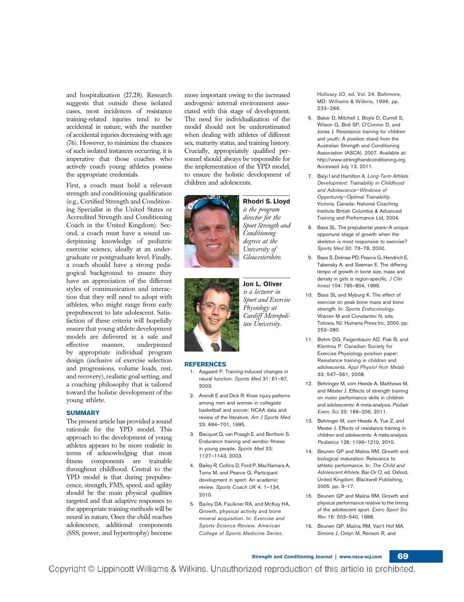and hospitalization (27,28). Research suggests that outside these isolated cases, most incidences of resistance training-related injuries tend to be accidental in nature, with the number of accidental injuries decreasing with age (76). However, to minimize the chances of such isolated instances occurring, it is imperative that those coaches who actively coach young athletes possess the appropriate credentials.

First, a coach must hold a relevant strength and conditioning qualification (e.g., Certified Strength and Conditioning Specialist in the United States or Accredited Strength and Conditioning Coach in the United Kingdom). Second, a coach must have a sound underpinning knowledge of pediatric exercise science, ideally at an undergraduate or postgraduate level. Finally, a coach should have a strong pedagogical background to ensure they have an appreciation of the different styles of communication and interaction that they will need to adopt with athletes, who might range from early prepubescent to late adolescent. Satisfaction of these criteria will hopefully ensure that young athlete development models are delivered in a safe and effective manner, underpinned by appropriate individual program design (inclusive of exercise selection and progressions, volume loads, rest, and recovery), realistic goal setting, and a coaching philosophy that is tailored toward the holistic development of the young athlete.

## **SUMMARY**

The present article has provided a sound rationale for the YPD model. This approach to the development of young athletes appears to be more realistic in terms of acknowledging that most fitness components are trainable throughout childhood. Central to the YPD model is that during prepubescence, strength, FMS, speed, and agility should be the main physical qualities targeted and that adaptive responses to the appropriate training methods will be neural in nature. Once the child reaches adolescence, additional components (SSS, power, and hypertrophy) become more important owing to the increased androgenic internal environment associated with this stage of development. The need for individualization of the model should not be underestimated when dealing with athletes of different sex, maturity status, and training history. Crucially, appropriately qualified personnel should always be responsible for the implementation of the YPD model, to ensure the holistic development of children and adolescents.



is the program director for the Sport Strength and Conditioning degrees at the University of Gloucestershire.

Rhodri S. Lloyd



# Jon L. Oliver is a lecturer in

Sport and Exercise Physiology at Cardiff Metropolitan University.

#### REFERENCES

- 1. Aagaard P. Training-induced changes in neural function. Sports Med 31: 61–67, 2003.
- 2. Arendt E and Dick R. Knee injury patterns among men and women in collegiate basketball and soccer: NCAA data and review of the literature. Am J Sports Med 23: 694–701, 1995.
- 3. Bacquet G, van Praagh E, and Berthoin S. Endurance training and aerobic fitness in young people. Sports Med 33: 1127–1143, 2003.
- 4. Bailey R, Collins D, Ford P, MacNamara A, Toms M, and Pearce G. Participant development in sport: An academic review. Sports Coach UK 4: 1–134, 2010.
- 5. Bailey DA, Faulkner RA, and McKay HA. Growth, physical activity and bone mineral acquisition. In: Exercise and Sports Science Review. American College of Sports Medicine Series.

Holloszy JO, ed. Vol. 24. Baltimore, MD: Williams & Wilkins, 1996. pp. 233–266.

- 6. Baker D, Mitchell J, Boyle D, Currell S, Wilson G, Bird SP, O'Connor D, and Jones J. Resistance training for children and youth: A position stand from the Australian Strength and Conditioning Association (ASCA). 2007. Available at: http://www.strengthandconditioning.org. Accessed July 13, 2011.
- 7. Balyi I and Hamilton A. Long-Term Athlete Development: Trainability in Childhood and Adolescence—Windows of Opportunity—Optimal Trainability. Victoria, Canada: National Coaching Institute British Columbia & Advanced Training and Performance Ltd, 2004.
- 8. Bass SL. The prepubertal years—A unique opportune stage of growth when the skeleton is most responsive to exercise? Sports Med 30: 73–78, 2000.
- 9. Bass S, Delmas PD, Pearce G, Hendrich E, Tabensky A, and Seeman E. The differing tempo of growth in bone size, mass and density in girls is region-specific. J Clin Invest 104: 795–804, 1999.
- 10. Bass SL and Myburg K. The effect of exercise on peak bone mass and bone strength. In: Sports Endocrinology. Warren M and Constantini N, eds. Totowa, NJ: Humana Press Inc, 2000. pp. 253–280.
- 11. Behm DG, Faigenbaum AD, Flak B, and Klentrou P. Canadian Society for Exercise Physiology position paper: Resistance training in children and adolescents. Appl Physiol Nutr Metab 33: 547–561, 2008.
- 12. Behringer M, vom Heede A, Matthews M, and Mester J. Effects of strength training on motor performance skills in children and adolescents: A meta-analysis. Pediatr Exerc Sci 23: 186–206, 2011.
- 13. Behringer M, vom Heede A, Yue Z, and Mester J. Effects of resistance training in children and adolescents: A meta-analysis. Pediatrics 126: 1199–1210, 2010.
- 14. Beunen GP and Malina RM. Growth and biological maturation: Relevance to athletic performance. In: The Child and Adolescent Athlete. Bar-Or O, ed. Oxford, United Kingdom: Blackwell Publishing, 2005. pp. 3–17.
- 15. Beunen GP and Malina RM. Growth and physical performance relative to the timing of the adolescent spurt. Exerc Sport Sci Rev 16: 503–540, 1988.
- 16. Beunen GP, Malina RM, Van't Hof MA, Simons J, Ostyn M, Renson R, and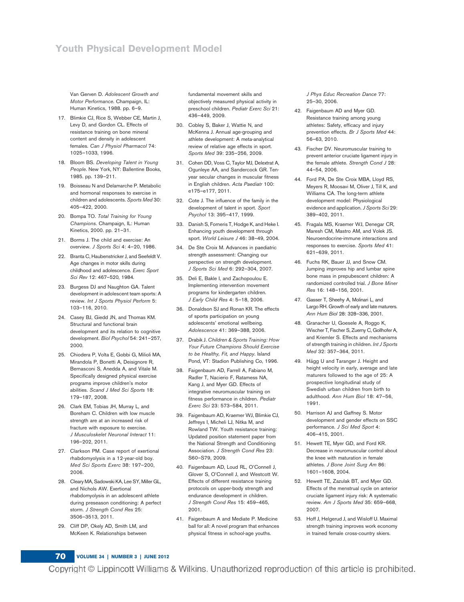Van Gerven D. Adolescent Growth and Motor Performance. Champaign, IL: Human Kinetics, 1988. pp. 6–9.

- 17. Blimkie CJ, Rice S, Webber CE, Martin J, Levy D, and Gordon CL. Effects of resistance training on bone mineral content and density in adolescent females. Can J Physiol Pharmacol 74: 1025–1033, 1996.
- 18. Bloom BS. Developing Talent in Young People. New York, NY: Ballentine Books, 1985. pp. 139–211.
- 19. Boisseau N and Delamarche P. Metabolic and hormonal responses to exercise in children and adolescents. Sports Med 30: 405–422, 2000.
- 20. Bompa TO. Total Training for Young Champions. Champaign, IL: Human Kinetics, 2000. pp. 21–31.
- 21. Borms J. The child and exercise: An overview. J Sports Sci 4: 4–20, 1986.
- 22. Branta C, Haubenstricker J, and Seefeldt V. Age changes in motor skills during childhood and adolescence. Exerc Sport Sci Rev 12: 467–520, 1984.
- 23. Burgess DJ and Naughton GA. Talent development in adolescent team sports: A review. Int J Sports Physiol Perform 5: 103–116, 2010.
- 24. Casey BJ, Giedd JN, and Thomas KM. Structural and functional brain development and its relation to cognitive development. Biol Psychol 54: 241–257, 2000.
- 25. Chiodera P, Volta E, Gobbi G, Milioli MA, Mirandola P, Bonetti A, Deisignore R, Bernasconi S, Anedda A, and Vitale M. Specifically designed physical exercise programs improve children's motor abilities. Scand J Med Sci Sports 18: 179–187, 2008.
- 26. Clark EM, Tobias JH, Murray L, and Boreham C. Children with low muscle strength are at an increased risk of fracture with exposure to exercise. J Musculoskelet Neuronal Interact 11: 196–202, 2011.
- 27. Clarkson PM. Case report of exertional rhabdomyolysis in a 12-year-old boy. Med Sci Sports Exerc 38: 197–200, 2006.
- 28. Cleary MA, Sadowski KA, Lee SY, Miller GL, and Nichols AW. Exertional rhabdomyolysis in an adolescent athlete during preseason conditioning: A perfect storm. J Strength Cond Res 25: 3506–3513, 2011.
- 29. Cliff DP, Okely AD, Smith LM, and McKeen K. Relationships between

fundamental movement skills and objectively measured physical activity in preschool children. Pediatr Exerc Sci 21: 436–449, 2009.

- 30. Cobley S, Baker J, Wattie N, and McKenna J. Annual age-grouping and athlete development: A meta-analytical review of relative age effects in sport. Sports Med 39: 235–256, 2009.
- 31. Cohen DD, Voss C, Taylor MJ, Delextrat A, Ogunleye AA, and Sandercock GR. Tenyear secular changes in muscular fitness in English children. Acta Paediatr 100: e175–e177, 2011.
- 32. Cote J. The influence of the family in the development of talent in sport. Sport Psychol 13: 395–417, 1999.
- 33. Danish S, Forneris T, Hodge K, and Heke I. Enhancing youth development through sport. World Leisure J 46: 38–49, 2004.
- 34. De Ste Croix M. Advances in paediatric strength assessment: Changing our perspective on strength development. J Sports Sci Med 6: 292–304, 2007.
- 35. Deli E, Bakle I, and Zachopoulou E. Implementing intervention movement programs for kindergarten children. J Early Child Res 4: 5–18, 2006.
- 36. Donaldson SJ and Ronan KR. The effects of sports participation on young adolescents' emotional wellbeing. Adolescence 41: 369–388, 2006.
- 37. Drabik J. Children & Sports Training: How Your Future Champions Should Exercise to be Healthy, Fit, and Happy. Island Pond, VT: Stadion Publishing Co, 1996.
- 38. Faigenbaum AD, Farrell A, Fabiano M, Radler T, Nacierio F, Ratamess NA, Kang J, and Myer GD. Effects of integrative neuromuscular training on fitness performance in children. Pediatr Exerc Sci 23: 573–584, 2011.
- 39. Faigenbaum AD, Kraemer WJ, Blimkie CJ, Jeffreys I, Micheli LJ, Nitka M, and Rowland TW. Youth resistance training: Updated position statement paper from the National Strength and Conditioning Association. J Strength Cond Res 23: S60–S79, 2009.
- 40. Faigenbaum AD, Loud RL, O'Connell J, Glover S, O'Connell J, and Westcott W. Effects of different resistance training protocols on upper-body strength and endurance development in children. J Strength Cond Res 15: 459–465, 2001.
- 41. Faigenbaum A and Mediate P. Medicine ball for all: A novel program that enhances physical fitness in school-age youths.

J Phys Educ Recreation Dance 77: 25–30, 2006.

- 42. Faigenbaum AD and Myer GD. Resistance training among young athletes: Safety, efficacy and injury prevention effects. Br J Sports Med 44: 56–63, 2010.
- 43. Fischer DV. Neuromuscular training to prevent anterior cruciate ligament injury in the female athlete. Strength Cond J 28: 44–54, 2006.
- 44. Ford PA, De Ste Croix MBA, Lloyd RS, Meyers R, Moosavi M, Oliver J, Till K, and Williams CA. The long-term athlete development model: Physiological evidence and application. J Sports Sci 29: 389–402, 2011.
- 45. Fragala MS, Kraemer WJ, Denegar CR, Maresh CM, Mastro AM, and Volek JS. Neuroendocrine-immune interactions and responses to exercise. Sports Med 41: 621–639, 2011.
- 46. Fuchs RK, Bauer JJ, and Snow CM. Jumping improves hip and lumbar spine bone mass in prepubescent children: A randomized controlled trial. J Bone Miner Res 16: 148–156, 2001.
- 47. Gasser T, Sheehy A, Molinari L, and Largo RH. Growth of early and late maturers. Ann Hum Biol 28: 328–336, 2001.
- 48. Granacher U, Goesele A, Roggo K, Wischer T, Fischer S, Zuerny C, Gollhofer A, and Kriemler S. Effects and mechanisms of strength training in children. Int J Sports Med 32: 357–364, 2011.
- 49. Hägg U and Taranger J. Height and height velocity in early, average and late maturers followed to the age of 25: A prospective longitudinal study of Swedish urban children from birth to adulthood. Ann Hum Biol 18: 47–56, 1991.
- 50. Harrison AJ and Gaffney S. Motor development and gender effects on SSC performance. J Sci Med Sport 4: 406–415, 2001.
- 51. Hewett TE, Myer GD, and Ford KR. Decrease in neuromuscular control about the knee with maturation in female athletes. J Bone Joint Surg Am 86: 1601–1608, 2004.
- 52. Hewett TE, Zazulak BT, and Myer GD. Effects of the menstrual cycle on anterior cruciate ligament injury risk: A systematic review. Am J Sports Med 35: 659–668, 2007.
- 53. Hoff J, Helgerud J, and Wisloff U. Maximal strength training improves work economy in trained female cross-country skiers.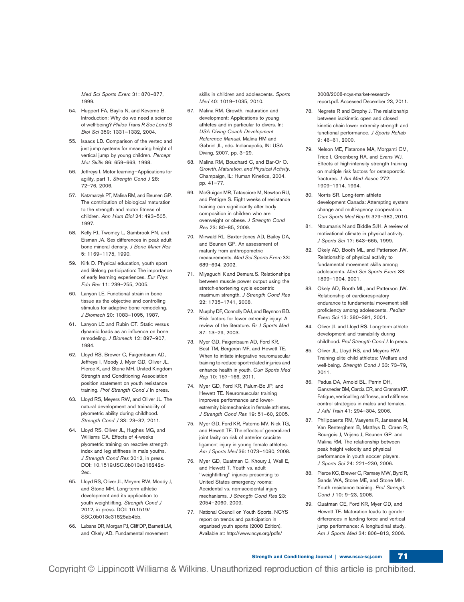Med Sci Sports Exerc 31: 870–877, 1999.

- 54. Huppert FA, Baylis N, and Keverne B. Introduction: Why do we need a science of well-being? Philos Trans R Soc Lond B Biol Sci 359: 1331–1332, 2004.
- 55. Isaacs LD. Comparison of the vertec and just jump systems for measuring height of vertical jump by young children. Percept Mot Skills 86: 659–663, 1998.
- 56. Jeffreys I. Motor learning—Applications for agility, part 1. Strength Cond J 28: 72–76, 2006.
- 57. Katzmarzyk PT, Malina RM, and Beunen GP. The contribution of biological maturation to the strength and motor fitness of children. Ann Hum Biol 24: 493–505, 1997.
- 58. Kelly PJ, Twomey L, Sambrook PN, and Eisman JA. Sex differences in peak adult bone mineral density. J Bone Miner Res 5: 1169–1175, 1990.
- 59. Kirk D. Physical education, youth sport and lifelong participation: The importance of early learning experiences. Eur Phys Edu Rev 11: 239–255, 2005.
- 60. Lanyon LE. Functional strain in bone tissue as the objective and controlling stimulus for adaptive bone remodeling. J Biomech 20: 1083–1095, 1987.
- 61. Lanyon LE and Rubin CT. Static versus dynamic loads as an influence on bone remodeling. J Biomech 12: 897–907, 1984.
- 62. Lloyd RS, Brewer C, Faigenbaum AD, Jeffreys I, Moody J, Myer GD, Oliver JL, Pierce K, and Stone MH. United Kingdom Strength and Conditioning Association position statement on youth resistance training. Prof Strength Cond J In press.
- 63. Lloyd RS, Meyers RW, and Oliver JL. The natural development and trainability of plyometric ability during childhood. Strength Cond J 33: 23–32, 2011.
- 64. Lloyd RS, Oliver JL, Hughes MG, and Williams CA. Effects of 4-weeks plyometric training on reactive strength index and leg stiffness in male youths. J Strength Cond Res 2012, in press. DOI: 10.1519/JSC.0b013e318242d- $2e$
- 65. Lloyd RS, Oliver JL, Meyers RW, Moody J, and Stone MH. Long-term athletic development and its application to youth weightlifting. Strength Cond J 2012, in press. DOI: 10.1519/ SSC.0b013e31825ab4bb.
- 66. Lubans DR, Morgan PJ, Cliff DP, Barnett LM, and Okely AD. Fundamental movement

skills in children and adolescents. Sports Med 40: 1019–1035, 2010.

- 67. Malina RM. Growth, maturation and development: Applications to young athletes and in particular to divers. In: USA Diving Coach Development Reference Manual. Malina RM and Gabriel JL, eds. Indianapolis, IN: USA Diving, 2007. pp. 3–29.
- 68. Malina RM, Bouchard C, and Bar-Or O. Growth, Maturation, and Physical Activity. Champaign, IL: Human Kinetics, 2004. pp. 41–77.
- 69. McGuigan MR, Tatasciore M, Newton RU, and Pettigre S. Eight weeks of resistance training can significantly alter body composition in children who are overweight or obese. J Strength Cond Res 23: 80–85, 2009.
- 70. Mirwald RL, Baxter-Jones AD, Bailey DA, and Beunen GP. An assessment of maturity from anthropometric measurements. Med Sci Sports Exerc 33: 689–694, 2002.
- 71. Miyaguchi K and Demura S. Relationships between muscle power output using the stretch-shortening cycle eccentric maximum strength. J Strength Cond Res 22: 1735–1741, 2008.
- 72. Murphy DF, Connolly DAJ, and Beynnon BD. Risk factors for lower extremity injury: A review of the literature. Br J Sports Med 37: 13–29, 2003.
- 73. Myer GD, Faigenbaum AD, Ford KR, Best TM, Bergeron MF, and Hewett TE. When to initiate integrative neuromuscular training to reduce sport-related injuries and enhance health in youth. Curr Sports Med Rep 10: 157–166, 2011.
- 74. Myer GD, Ford KR, Palum-Bo JP, and Hewett TE. Neuromuscular training improves performance and lowerextremity biomechanics in female athletes. J Strength Cond Res 19: 51–60, 2005.
- 75. Myer GD, Ford KR, Paterno MV, Nick TG, and Hewett TE. The effects of generalized joint laxity on risk of anterior cruciate ligament injury in young female athletes. Am J Sports Med 36: 1073–1080, 2008.
- 76. Myer GD, Quatman C, Khoury J, Wall E, and Hewett T. Youth vs. adult ''weightlifting'' injuries presenting to United States emergency rooms: Accidental vs. non-accidental injury mechanisms. J Strength Cond Res 23: 2054–2060, 2009.
- 77. National Council on Youth Sports. NCYS report on trends and participation in organized youth sports (2008 Edition). Available at: http://www.ncys.org/pdfs/

2008/2008-ncys-market-researchreport.pdf. Accessed December 23, 2011.

- 78. Negrete R and Brophy J. The relationship between isokinetic open and closed kinetic chain lower extremity strength and functional performance. J Sports Rehab 9: 46–61, 2000.
- 79. Nelson ME, Fiatarone MA, Morganti CM, Trice I, Greenberg RA, and Evans WJ. Effects of high-intensity strength training on multiple risk factors for osteoporotic fractures. J Am Med Assoc 272: 1909–1914, 1994.
- 80. Norris SR. Long-term athlete development Canada: Attempting system change and multi-agency cooperation. Curr Sports Med Rep 9: 379–382, 2010.
- 81. Ntoumanis N and Biddle SJH. A review of motivational climate in physical activity. J Sports Sci 17: 643–665, 1999.
- 82. Okely AD, Booth ML, and Patterson JW. Relationship of physical activity to fundamental movement skills among adolescents. Med Sci Sports Exerc 33: 1899–1904, 2001.
- 83. Okely AD, Booth ML, and Patterson JW. Relationship of cardiorespiratory endurance to fundamental movement skill proficiency among adolescents. Pediatr Exerc Sci 13: 380–391, 2001.
- 84. Oliver JL and Lloyd RS. Long-term athlete development and trainability during childhood. Prof Strength Cond J. In press.
- 85. Oliver JL, Lloyd RS, and Meyers RW. Training elite child athletes: Welfare and well-being. Strength Cond J 33: 73–79, 2011.
- 86. Padua DA, Arnold BL, Perrin DH, Gansneder BM, Carcia CR, and Granata KP. Fatigue, vertical leg stiffness, and stiffness control strategies in males and females. J Athl Train 41: 294–304, 2006.
- 87. Philippaerts RM, Vaeyens R, Janssens M, Van Renterghem B, Matthys D, Craen R, Bourgois J, Vrijens J, Beunen GP, and Malina RM. The relationship between peak height velocity and physical performance in youth soccer players. J Sports Sci 24: 221–230, 2006.
- 88. Pierce KC, Brewer C, Ramsey MW, Byrd R, Sands WA, Stone ME, and Stone MH. Youth resistance training. Prof Strength Cond J 10: 9-23, 2008.
- 89. Quatman CE, Ford KR, Myer GD, and Hewett TE. Maturation leads to gender differences in landing force and vertical jump performance: A longitudinal study. Am J Sports Med 34: 806–813, 2006.